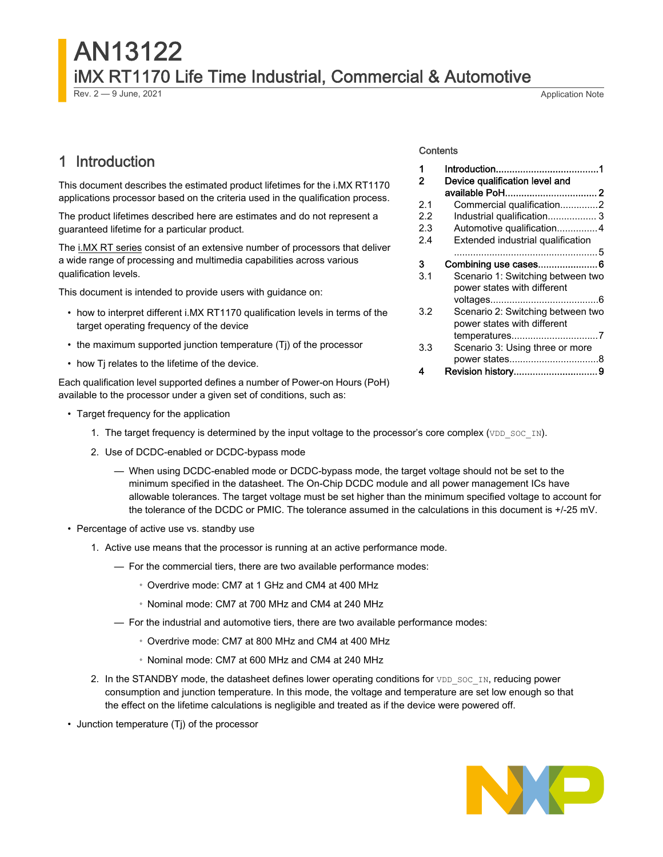# AN13122 iMX RT1170 Life Time Industrial, Commercial & Automotive Rev. 2 — 9 June, 2021 **Application Note**

# 1 Introduction

This document describes the estimated product lifetimes for the i.MX RT1170 applications processor based on the criteria used in the qualification process.

The product lifetimes described here are estimates and do not represent a guaranteed lifetime for a particular product.

The [i.MX RT series](https://www.nxp.com/products/processors-and-microcontrollers/arm-microcontrollers/i-mx-rt-crossover-mcus/i-mx-rt1170-crossover-mcu-family-first-ghz-mcu-with-arm-cortex-m7-and-cortex-m4-cores:i.MX-RT1170?utm_medium=AN-2021) consist of an extensive number of processors that deliver a wide range of processing and multimedia capabilities across various qualification levels.

This document is intended to provide users with guidance on:

- how to interpret different i.MX RT1170 qualification levels in terms of the target operating frequency of the device
- the maximum supported junction temperature (Tj) of the processor
- how Tj relates to the lifetime of the device.

Each qualification level supported defines a number of Power-on Hours (PoH) available to the processor under a given set of conditions, such as:

- Target frequency for the application
	- 1. The target frequency is determined by the input voltage to the processor's core complex (VDD\_SOC\_IN).
	- 2. Use of DCDC-enabled or DCDC-bypass mode
		- When using DCDC-enabled mode or DCDC-bypass mode, the target voltage should not be set to the minimum specified in the datasheet. The On-Chip DCDC module and all power management ICs have allowable tolerances. The target voltage must be set higher than the minimum specified voltage to account for the tolerance of the DCDC or PMIC. The tolerance assumed in the calculations in this document is +/-25 mV.
- Percentage of active use vs. standby use
	- 1. Active use means that the processor is running at an active performance mode.
		- For the commercial tiers, there are two available performance modes:
			- Overdrive mode: CM7 at 1 GHz and CM4 at 400 MHz
			- Nominal mode: CM7 at 700 MHz and CM4 at 240 MHz
		- For the industrial and automotive tiers, there are two available performance modes:
			- Overdrive mode: CM7 at 800 MHz and CM4 at 400 MHz
			- Nominal mode: CM7 at 600 MHz and CM4 at 240 MHz
	- 2. In the STANDBY mode, the datasheet defines lower operating conditions for  $VDD$  SOC\_IN, reducing power consumption and junction temperature. In this mode, the voltage and temperature are set low enough so that the effect on the lifetime calculations is negligible and treated as if the device were powered off.
- Junction temperature (Tj) of the processor

### **Contents**

| 1   |                                                                  |
|-----|------------------------------------------------------------------|
| 2   | Device qualification level and                                   |
| 2.1 | Commercial qualification2                                        |
| 2.2 | Industrial qualification 3                                       |
| 2.3 | Automotive qualification4                                        |
| 2.4 | Extended industrial qualification                                |
|     |                                                                  |
| 3   | Combining use cases6                                             |
| 3.1 | Scenario 1: Switching between two<br>power states with different |
|     |                                                                  |
| 3.2 | Scenario 2: Switching between two<br>power states with different |
|     |                                                                  |
| 3.3 | Scenario 3: Using three or more                                  |
|     |                                                                  |
| 4   | Revision history9                                                |

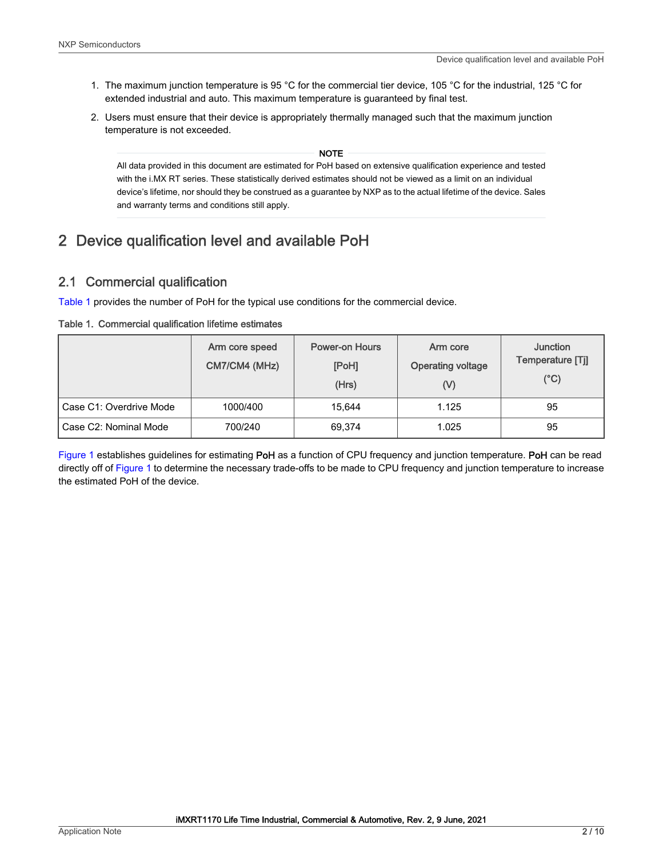- <span id="page-1-0"></span>1. The maximum junction temperature is 95 °C for the commercial tier device, 105 °C for the industrial, 125 °C for extended industrial and auto. This maximum temperature is guaranteed by final test.
- 2. Users must ensure that their device is appropriately thermally managed such that the maximum junction temperature is not exceeded.

NOTE

All data provided in this document are estimated for PoH based on extensive qualification experience and tested with the i.MX RT series. These statistically derived estimates should not be viewed as a limit on an individual device's lifetime, nor should they be construed as a guarantee by NXP as to the actual lifetime of the device. Sales and warranty terms and conditions still apply.

# 2 Device qualification level and available PoH

#### 2.1 Commercial qualification

Table 1 provides the number of PoH for the typical use conditions for the commercial device.

|  | Table 1. Commercial qualification lifetime estimates |  |  |  |
|--|------------------------------------------------------|--|--|--|
|--|------------------------------------------------------|--|--|--|

|                         | Arm core speed<br>CM7/CM4 (MHz) | <b>Power-on Hours</b><br>[PoH]<br>(Hrs) | Arm core<br><b>Operating voltage</b><br>(V) | Junction<br>Temperature [Tj]<br>$(^{\circ}C)$ |
|-------------------------|---------------------------------|-----------------------------------------|---------------------------------------------|-----------------------------------------------|
| Case C1: Overdrive Mode | 1000/400                        | 15.644                                  | 1.125                                       | 95                                            |
| Case C2: Nominal Mode   | 700/240                         | 69.374                                  | 1.025                                       | 95                                            |

[Figure 1](#page-2-0) establishes guidelines for estimating PoH as a function of CPU frequency and junction temperature. PoH can be read directly off of [Figure 1](#page-2-0) to determine the necessary trade-offs to be made to CPU frequency and junction temperature to increase the estimated PoH of the device.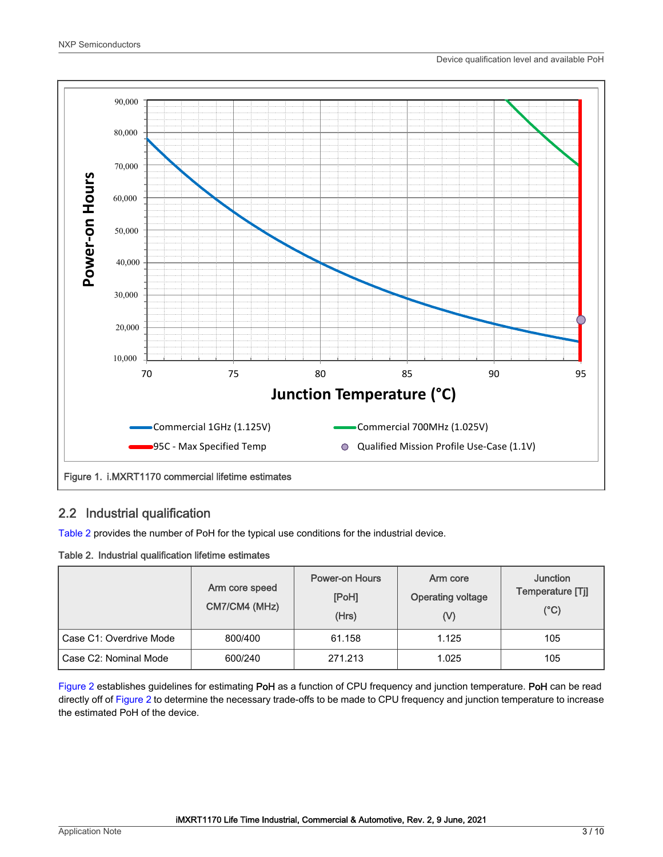<span id="page-2-0"></span>

#### 2.2 Industrial qualification

Table 2 provides the number of PoH for the typical use conditions for the industrial device.

#### Table 2. Industrial qualification lifetime estimates

|                         | Arm core speed<br>CM7/CM4 (MHz) | <b>Power-on Hours</b><br>[PoH]<br>(Hrs) | Arm core<br><b>Operating voltage</b><br>(V) | <b>Junction</b><br>Temperature [Tj]<br>$(^{\circ}C)$ |
|-------------------------|---------------------------------|-----------------------------------------|---------------------------------------------|------------------------------------------------------|
| Case C1: Overdrive Mode | 800/400                         | 61.158                                  | 1.125                                       | 105                                                  |
| Case C2: Nominal Mode   | 600/240                         | 271.213                                 | 1.025                                       | 105                                                  |

[Figure 2](#page-3-0) establishes guidelines for estimating PoH as a function of CPU frequency and junction temperature. PoH can be read directly off of [Figure 2](#page-3-0) to determine the necessary trade-offs to be made to CPU frequency and junction temperature to increase the estimated PoH of the device.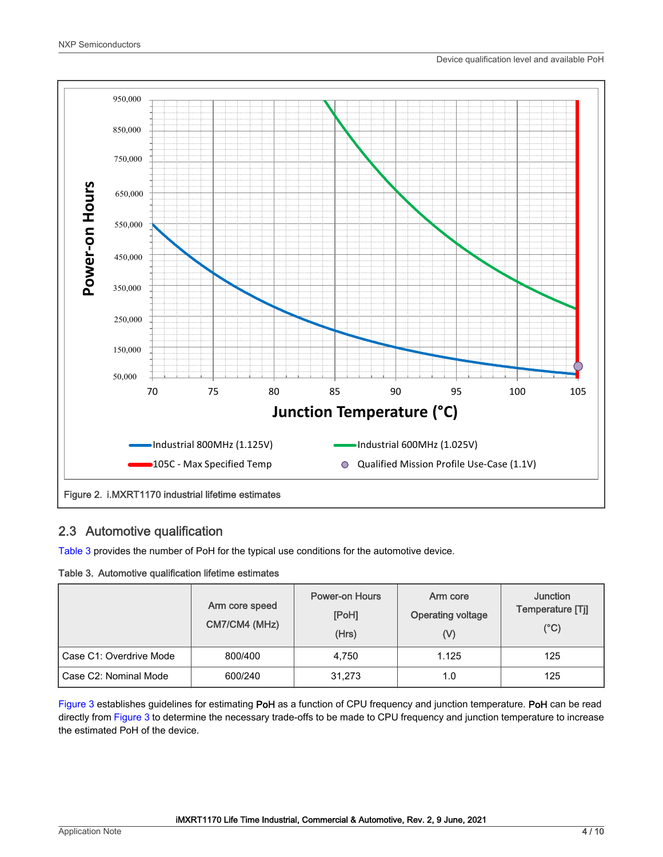<span id="page-3-0"></span>

#### 2.3 Automotive qualification

Table 3 provides the number of PoH for the typical use conditions for the automotive device.

#### Table 3. Automotive qualification lifetime estimates

|                         | Arm core speed<br>CM7/CM4 (MHz) | <b>Power-on Hours</b><br>[PoH]<br>(Hrs) | Arm core<br><b>Operating voltage</b><br>(V) | <b>Junction</b><br>Temperature [Tj]<br>$(^{\circ}C)$ |
|-------------------------|---------------------------------|-----------------------------------------|---------------------------------------------|------------------------------------------------------|
| Case C1: Overdrive Mode | 800/400                         | 4.750                                   | 1.125                                       | 125                                                  |
| Case C2: Nominal Mode   | 600/240                         | 31.273                                  | 1.0                                         | 125                                                  |

[Figure 3](#page-4-0) establishes guidelines for estimating PoH as a function of CPU frequency and junction temperature. PoH can be read directly from [Figure 3](#page-4-0) to determine the necessary trade-offs to be made to CPU frequency and junction temperature to increase the estimated PoH of the device.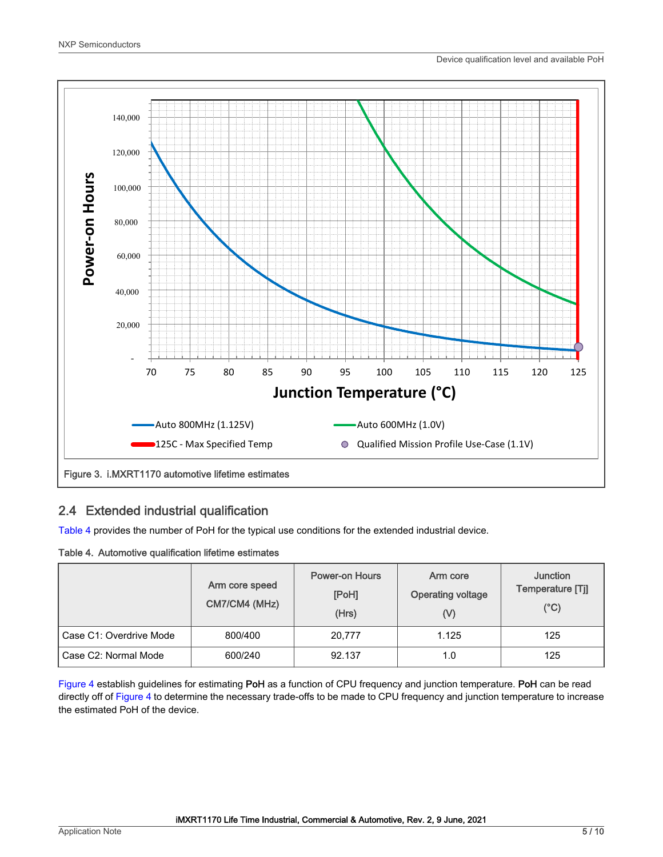<span id="page-4-0"></span>

#### 2.4 Extended industrial qualification

Table 4 provides the number of PoH for the typical use conditions for the extended industrial device.

#### Table 4. Automotive qualification lifetime estimates

|                         | Arm core speed<br>CM7/CM4 (MHz) | <b>Power-on Hours</b><br>[PoH]<br>(Hrs) | Arm core<br><b>Operating voltage</b><br>$\mathcal{N}$ | <b>Junction</b><br>Temperature [Tj]<br>$(^{\circ}C)$ |
|-------------------------|---------------------------------|-----------------------------------------|-------------------------------------------------------|------------------------------------------------------|
| Case C1: Overdrive Mode | 800/400                         | 20,777                                  | 1.125                                                 | 125                                                  |
| Case C2: Normal Mode    | 600/240                         | 92.137                                  | 1.0                                                   | 125                                                  |

[Figure 4](#page-5-0) establish guidelines for estimating PoH as a function of CPU frequency and junction temperature. PoH can be read directly off of [Figure 4](#page-5-0) to determine the necessary trade-offs to be made to CPU frequency and junction temperature to increase the estimated PoH of the device.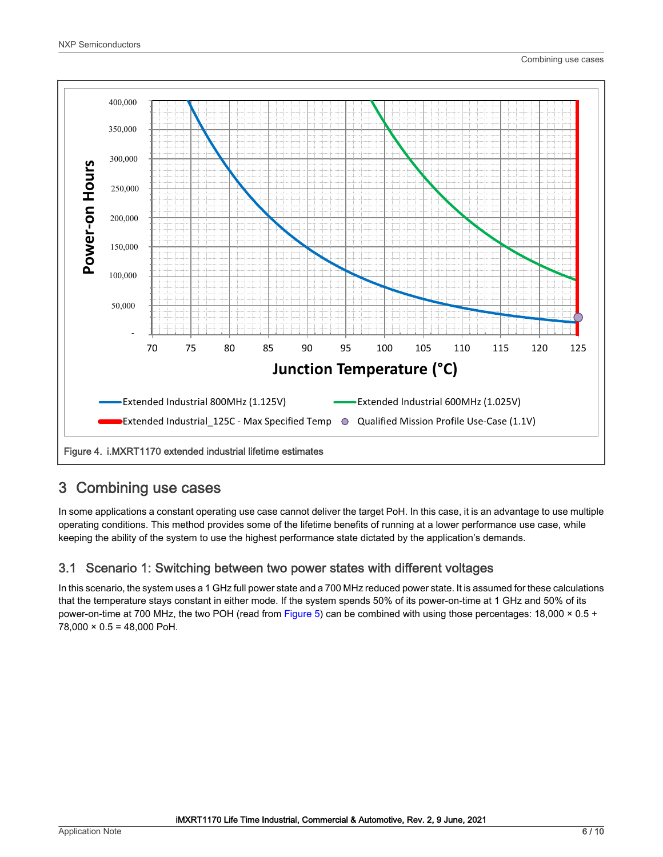<span id="page-5-0"></span>

## 3 Combining use cases

In some applications a constant operating use case cannot deliver the target PoH. In this case, it is an advantage to use multiple operating conditions. This method provides some of the lifetime benefits of running at a lower performance use case, while keeping the ability of the system to use the highest performance state dictated by the application's demands.

#### 3.1 Scenario 1: Switching between two power states with different voltages

In this scenario, the system uses a 1 GHz full power state and a 700 MHz reduced power state. It is assumed for these calculations that the temperature stays constant in either mode. If the system spends 50% of its power-on-time at 1 GHz and 50% of its power-on-time at 700 MHz, the two POH (read from [Figure 5\)](#page-6-0) can be combined with using those percentages: 18,000 × 0.5 +  $78,000 \times 0.5 = 48,000$  PoH.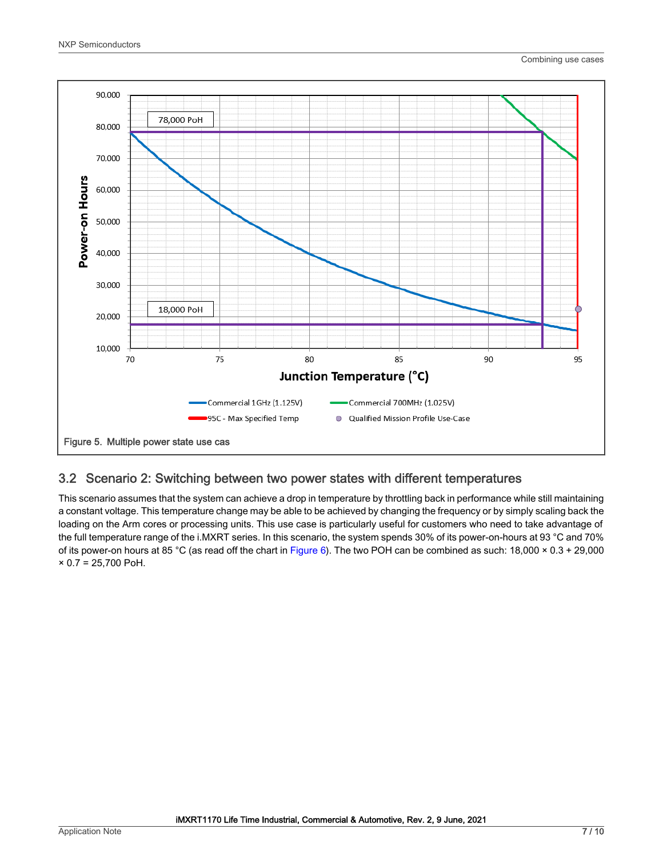<span id="page-6-0"></span>

#### 3.2 Scenario 2: Switching between two power states with different temperatures

This scenario assumes that the system can achieve a drop in temperature by throttling back in performance while still maintaining a constant voltage. This temperature change may be able to be achieved by changing the frequency or by simply scaling back the loading on the Arm cores or processing units. This use case is particularly useful for customers who need to take advantage of the full temperature range of the i.MXRT series. In this scenario, the system spends 30% of its power-on-hours at 93 °C and 70% of its power-on hours at 85 °C (as read off the chart in [Figure 6\)](#page-7-0). The two POH can be combined as such: 18,000 × 0.3 + 29,000  $× 0.7 = 25,700$  PoH.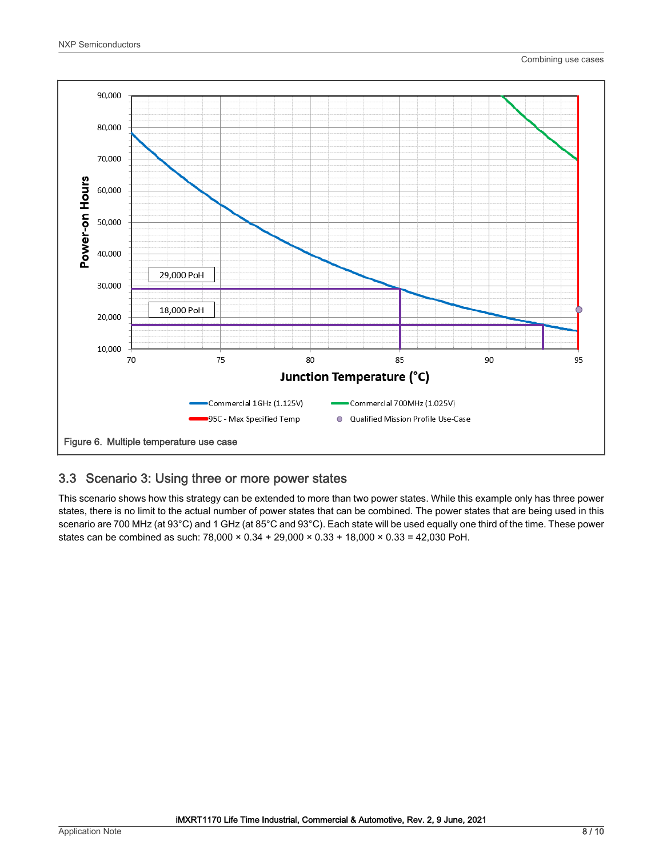<span id="page-7-0"></span>

#### 3.3 Scenario 3: Using three or more power states

This scenario shows how this strategy can be extended to more than two power states. While this example only has three power states, there is no limit to the actual number of power states that can be combined. The power states that are being used in this scenario are 700 MHz (at 93°C) and 1 GHz (at 85°C and 93°C). Each state will be used equally one third of the time. These power states can be combined as such:  $78,000 \times 0.34 + 29,000 \times 0.33 + 18,000 \times 0.33 = 42,030$  PoH.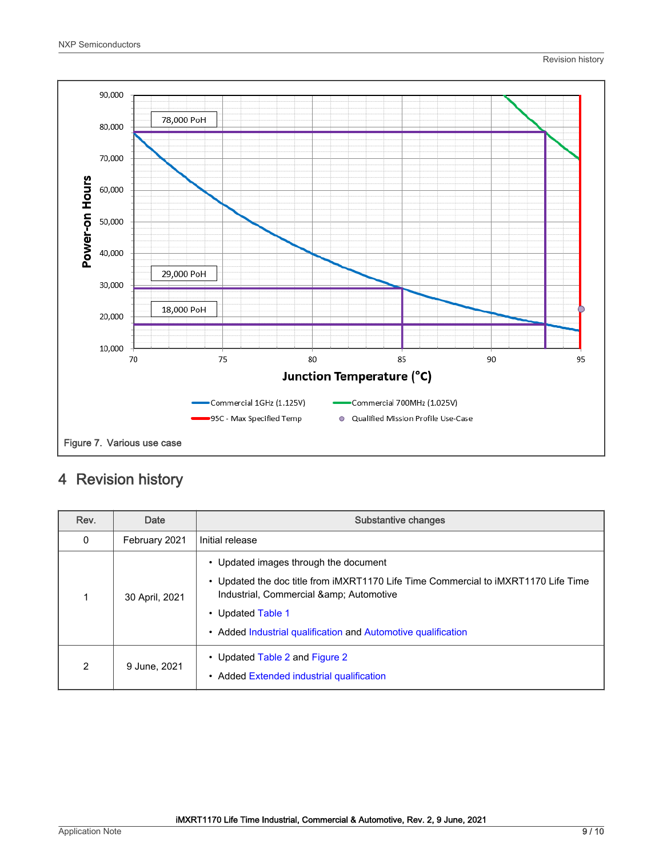<span id="page-8-0"></span>

# 4 Revision history

| Rev.         | Date           | Substantive changes                                                                                                                                                                                                                                           |
|--------------|----------------|---------------------------------------------------------------------------------------------------------------------------------------------------------------------------------------------------------------------------------------------------------------|
| $\mathbf{0}$ | February 2021  | Initial release                                                                                                                                                                                                                                               |
|              | 30 April, 2021 | • Updated images through the document<br>• Updated the doc title from iMXRT1170 Life Time Commercial to iMXRT1170 Life Time<br>Industrial, Commercial & amp; Automotive<br>• Updated Table 1<br>• Added Industrial qualification and Automotive qualification |
| 2            | 9 June, 2021   | • Updated Table 2 and Figure 2<br>• Added Extended industrial qualification                                                                                                                                                                                   |